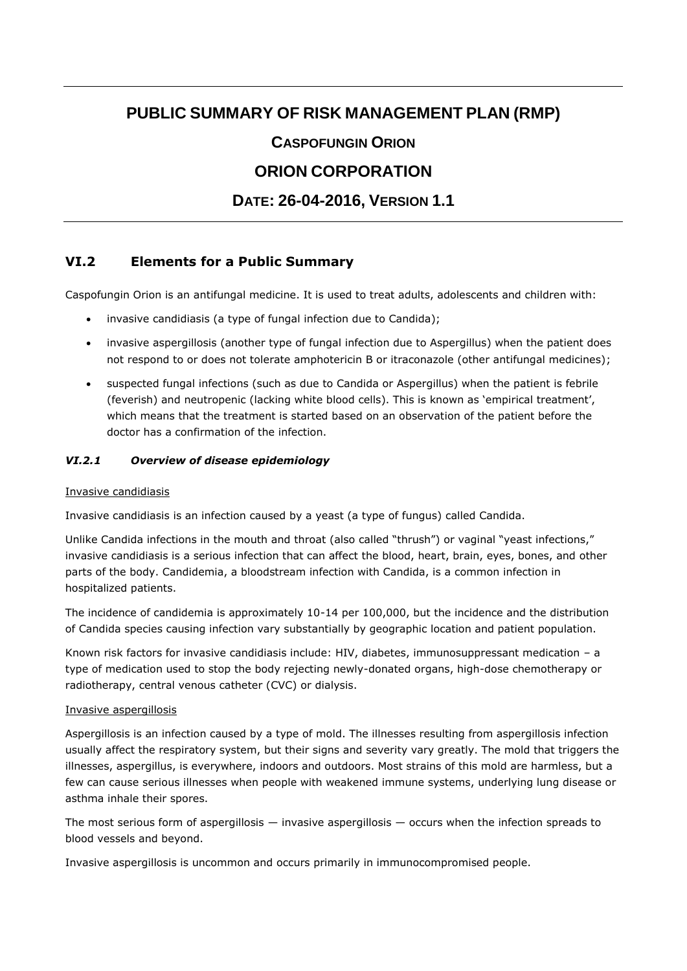# **PUBLIC SUMMARY OF RISK MANAGEMENT PLAN (RMP)**

# **CASPOFUNGIN ORION**

# **ORION CORPORATION**

# **DATE: 26-04-2016, VERSION 1.1**

# **VI.2 Elements for a Public Summary**

Caspofungin Orion is an antifungal medicine. It is used to treat adults, adolescents and children with:

- invasive candidiasis (a type of fungal infection due to Candida);
- invasive aspergillosis (another type of fungal infection due to Aspergillus) when the patient does not respond to or does not tolerate amphotericin B or itraconazole (other antifungal medicines);
- suspected fungal infections (such as due to Candida or Aspergillus) when the patient is febrile (feverish) and neutropenic (lacking white blood cells). This is known as 'empirical treatment', which means that the treatment is started based on an observation of the patient before the doctor has a confirmation of the infection.

#### *VI.2.1 Overview of disease epidemiology*

#### Invasive candidiasis

Invasive candidiasis is an infection caused by a yeast (a type of fungus) called Candida.

Unlike Candida infections in the mouth and throat (also called "thrush") or vaginal "yeast infections," invasive candidiasis is a serious infection that can affect the blood, heart, brain, eyes, bones, and other parts of the body. Candidemia, a bloodstream infection with Candida, is a common infection in hospitalized patients.

The incidence of candidemia is approximately 10-14 per 100,000, but the incidence and the distribution of Candida species causing infection vary substantially by geographic location and patient population.

Known risk factors for invasive candidiasis include: HIV, diabetes, immunosuppressant medication – a type of medication used to stop the body rejecting newly-donated organs, high-dose chemotherapy or radiotherapy, central venous catheter (CVC) or dialysis.

#### Invasive aspergillosis

Aspergillosis is an infection caused by a type of mold. The illnesses resulting from aspergillosis infection usually affect the respiratory system, but their signs and severity vary greatly. The mold that triggers the illnesses, aspergillus, is everywhere, indoors and outdoors. Most strains of this mold are harmless, but a few can cause serious illnesses when people with weakened immune systems, underlying lung disease or asthma inhale their spores.

The most serious form of aspergillosis — invasive aspergillosis — occurs when the infection spreads to blood vessels and beyond.

Invasive aspergillosis is uncommon and occurs primarily in immunocompromised people.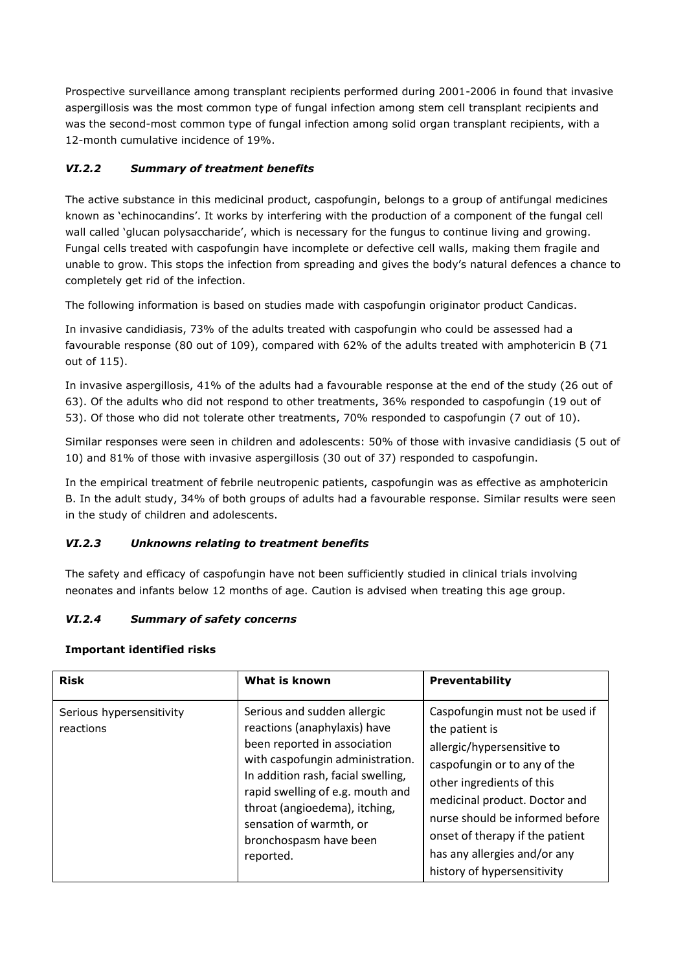Prospective surveillance among transplant recipients performed during 2001-2006 in found that invasive aspergillosis was the most common type of fungal infection among stem cell transplant recipients and was the second-most common type of fungal infection among solid organ transplant recipients, with a 12-month cumulative incidence of 19%.

## *VI.2.2 Summary of treatment benefits*

The active substance in this medicinal product, caspofungin, belongs to a group of antifungal medicines known as 'echinocandins'. It works by interfering with the production of a component of the fungal cell wall called 'glucan polysaccharide', which is necessary for the fungus to continue living and growing. Fungal cells treated with caspofungin have incomplete or defective cell walls, making them fragile and unable to grow. This stops the infection from spreading and gives the body's natural defences a chance to completely get rid of the infection.

The following information is based on studies made with caspofungin originator product Candicas.

In invasive candidiasis, 73% of the adults treated with caspofungin who could be assessed had a favourable response (80 out of 109), compared with 62% of the adults treated with amphotericin B (71 out of 115).

In invasive aspergillosis, 41% of the adults had a favourable response at the end of the study (26 out of 63). Of the adults who did not respond to other treatments, 36% responded to caspofungin (19 out of 53). Of those who did not tolerate other treatments, 70% responded to caspofungin (7 out of 10).

Similar responses were seen in children and adolescents: 50% of those with invasive candidiasis (5 out of 10) and 81% of those with invasive aspergillosis (30 out of 37) responded to caspofungin.

In the empirical treatment of febrile neutropenic patients, caspofungin was as effective as amphotericin B. In the adult study, 34% of both groups of adults had a favourable response. Similar results were seen in the study of children and adolescents.

## *VI.2.3 Unknowns relating to treatment benefits*

The safety and efficacy of caspofungin have not been sufficiently studied in clinical trials involving neonates and infants below 12 months of age. Caution is advised when treating this age group.

## *VI.2.4 Summary of safety concerns*

#### **Important identified risks**

| <b>Risk</b>                           | What is known                                                                                                                                                                                                                                                                                                | <b>Preventability</b>                                                                                                                                                                                                                                                                                              |
|---------------------------------------|--------------------------------------------------------------------------------------------------------------------------------------------------------------------------------------------------------------------------------------------------------------------------------------------------------------|--------------------------------------------------------------------------------------------------------------------------------------------------------------------------------------------------------------------------------------------------------------------------------------------------------------------|
| Serious hypersensitivity<br>reactions | Serious and sudden allergic<br>reactions (anaphylaxis) have<br>been reported in association<br>with caspofungin administration.<br>In addition rash, facial swelling,<br>rapid swelling of e.g. mouth and<br>throat (angioedema), itching,<br>sensation of warmth, or<br>bronchospasm have been<br>reported. | Caspofungin must not be used if<br>the patient is<br>allergic/hypersensitive to<br>caspofungin or to any of the<br>other ingredients of this<br>medicinal product. Doctor and<br>nurse should be informed before<br>onset of therapy if the patient<br>has any allergies and/or any<br>history of hypersensitivity |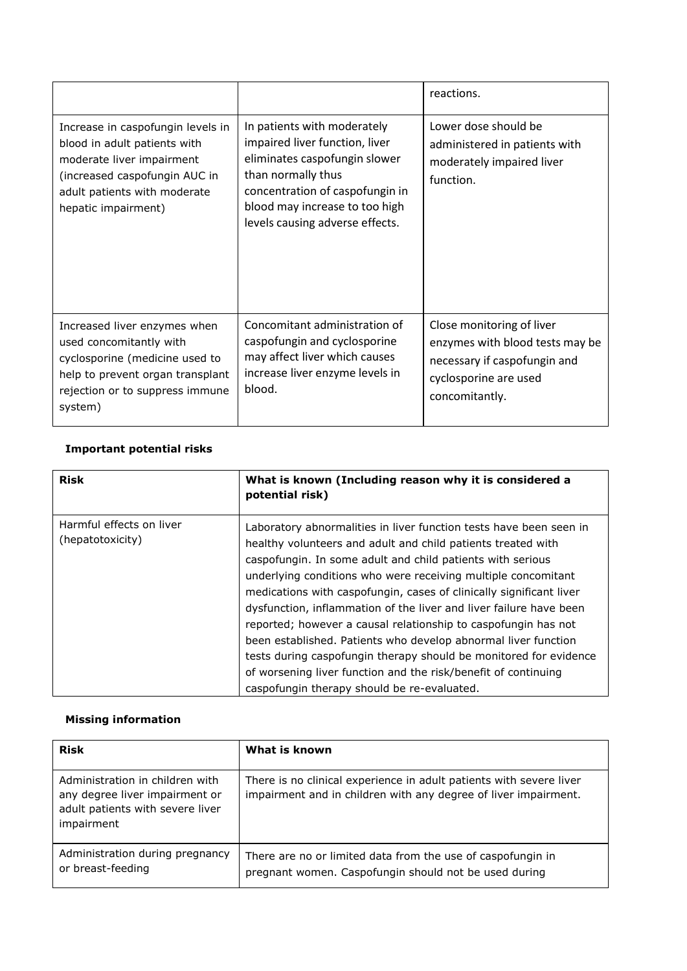|                                                                                                                                                                                        |                                                                                                                                                                                                                              | reactions.                                                                                                                              |
|----------------------------------------------------------------------------------------------------------------------------------------------------------------------------------------|------------------------------------------------------------------------------------------------------------------------------------------------------------------------------------------------------------------------------|-----------------------------------------------------------------------------------------------------------------------------------------|
| Increase in caspofungin levels in<br>blood in adult patients with<br>moderate liver impairment<br>(increased caspofungin AUC in<br>adult patients with moderate<br>hepatic impairment) | In patients with moderately<br>impaired liver function, liver<br>eliminates caspofungin slower<br>than normally thus<br>concentration of caspofungin in<br>blood may increase to too high<br>levels causing adverse effects. | Lower dose should be<br>administered in patients with<br>moderately impaired liver<br>function.                                         |
| Increased liver enzymes when<br>used concomitantly with<br>cyclosporine (medicine used to<br>help to prevent organ transplant<br>rejection or to suppress immune<br>system)            | Concomitant administration of<br>caspofungin and cyclosporine<br>may affect liver which causes<br>increase liver enzyme levels in<br>blood.                                                                                  | Close monitoring of liver<br>enzymes with blood tests may be<br>necessary if caspofungin and<br>cyclosporine are used<br>concomitantly. |

# **Important potential risks**

| <b>Risk</b>                                  | What is known (Including reason why it is considered a<br>potential risk)                                                                                                                                                                                                                                                                                                                                                                                                                                                                                                                                                                                                                                                                |
|----------------------------------------------|------------------------------------------------------------------------------------------------------------------------------------------------------------------------------------------------------------------------------------------------------------------------------------------------------------------------------------------------------------------------------------------------------------------------------------------------------------------------------------------------------------------------------------------------------------------------------------------------------------------------------------------------------------------------------------------------------------------------------------------|
| Harmful effects on liver<br>(hepatotoxicity) | Laboratory abnormalities in liver function tests have been seen in<br>healthy volunteers and adult and child patients treated with<br>caspofungin. In some adult and child patients with serious<br>underlying conditions who were receiving multiple concomitant<br>medications with caspofungin, cases of clinically significant liver<br>dysfunction, inflammation of the liver and liver failure have been<br>reported; however a causal relationship to caspofungin has not<br>been established. Patients who develop abnormal liver function<br>tests during caspofungin therapy should be monitored for evidence<br>of worsening liver function and the risk/benefit of continuing<br>caspofungin therapy should be re-evaluated. |

## **Missing information**

| <b>Risk</b>                                                                                                         | What is known                                                                                                                          |
|---------------------------------------------------------------------------------------------------------------------|----------------------------------------------------------------------------------------------------------------------------------------|
| Administration in children with<br>any degree liver impairment or<br>adult patients with severe liver<br>impairment | There is no clinical experience in adult patients with severe liver<br>impairment and in children with any degree of liver impairment. |
| Administration during pregnancy<br>or breast-feeding                                                                | There are no or limited data from the use of caspofungin in<br>pregnant women. Caspofungin should not be used during                   |